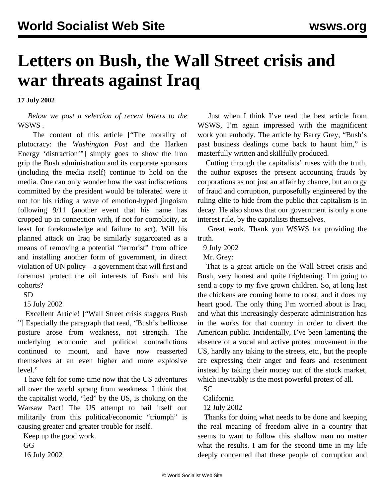## **Letters on Bush, the Wall Street crisis and war threats against Iraq**

**17 July 2002**

 *Below we post a selection of recent letters to the* WSWS *.*

 The content of this article [["The morality of](wp-j15.shtml) [plutocracy: the](wp-j15.shtml) *[Washington Post](wp-j15.shtml)* [and the Harken](wp-j15.shtml) [Energy 'distraction'"](wp-j15.shtml)] simply goes to show the iron grip the Bush administration and its corporate sponsors (including the media itself) continue to hold on the media. One can only wonder how the vast indiscretions committed by the president would be tolerated were it not for his riding a wave of emotion-hyped jingoism following 9/11 (another event that his name has cropped up in connection with, if not for complicity, at least for foreknowledge and failure to act). Will his planned attack on Iraq be similarly sugarcoated as a means of removing a potential "terrorist" from office and installing another form of government, in direct violation of UN policy—a government that will first and foremost protect the oil interests of Bush and his cohorts?

SD

15 July 2002

 Excellent Article! ["[Wall Street crisis staggers Bush](bush-j12.shtml) "] Especially the paragraph that read, "Bush's bellicose posture arose from weakness, not strength. The underlying economic and political contradictions continued to mount, and have now reasserted themselves at an even higher and more explosive level."

 I have felt for some time now that the US adventures all over the world sprang from weakness. I think that the capitalist world, "led" by the US, is choking on the Warsaw Pact! The US attempt to bail itself out militarily from this political/economic "triumph" is causing greater and greater trouble for itself.

Keep up the good work.

GG

16 July 2002

 Just when I think I've read the best article from WSWS, I'm again impressed with the magnificent work you embody. The article by Barry Grey, ["Bush's](bush-j09.shtml) [past business dealings come back to haunt him](bush-j09.shtml)," is masterfully written and skillfully produced.

 Cutting through the capitalists' ruses with the truth, the author exposes the present accounting frauds by corporations as not just an affair by chance, but an orgy of fraud and corruption, purposefully engineered by the ruling elite to hide from the public that capitalism is in decay. He also shows that our government is only a one interest rule, by the capitalists themselves.

 Great work. Thank you WSWS for providing the truth.

9 July 2002

Mr. Grey:

 That is a great article on the Wall Street crisis and Bush, very honest and quite frightening. I'm going to send a copy to my five grown children. So, at long last the chickens are coming home to roost, and it does my heart good. The only thing I'm worried about is Iraq, and what this increasingly desperate administration has in the works for that country in order to divert the American public. Incidentally, I've been lamenting the absence of a vocal and active protest movement in the US, hardly any taking to the streets, etc., but the people are expressing their anger and fears and resentment instead by taking their money out of the stock market, which inevitably is the most powerful protest of all.

SC

California

12 July 2002

 Thanks for doing what needs to be done and keeping the real meaning of freedom alive in a country that seems to want to follow this shallow man no matter what the results. I am for the second time in my life deeply concerned that these people of corruption and